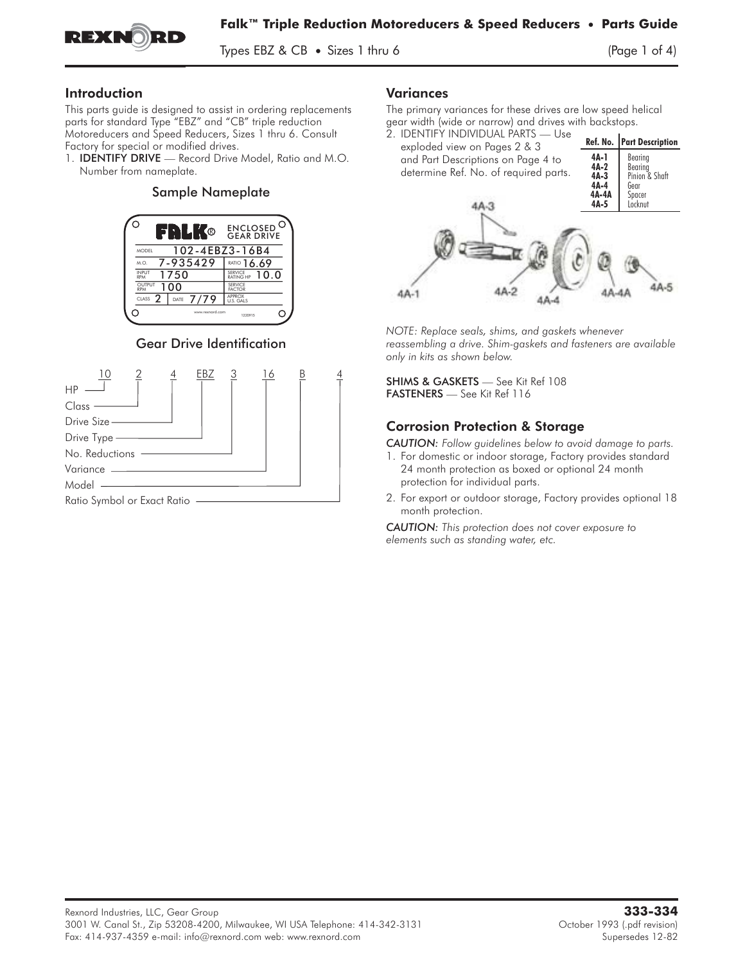

Types EBZ & CB • Sizes 1 thru 6 (Page 1 of 4)

### Introduction

This parts guide is designed to assist in ordering replacements<br>parts for standard Type "EBZ" and "CB" triple reduction<br>Motoreducers and Speed Reducers, Sizes 1 thru 6. Consult<br>Factory for special or modified drives.<br>1. **I** parts for standard Type "EBZ" and "CB" triple reduction Motoreducers and Speed Reducers, Sizes 1 thru 6. Consult Factory for special or modified drives.<br>1. **IDENTIFY DRIVE** — Record Drive Model, Ratio and M.O.

Number from nameplate.

#### Sample Nameplate



## Gear Drive Identification



#### Variances

The primary variances for these drives are low speed helical gear width (wide or narrow) and drives with backstops.



*NOTE: Replace seals, shims, and gaskets whenever reassembling a drive. Shim-gaskets and fasteners are available only in kits as shown below.*

SHIMS & GASKETS — See Kit Ref 108 FASTENERS — See Kit Ref 116

## Corrosion Protection & Storage

*CAUTION: Follow guidelines below to avoid damage to parts.*

- 1. For domestic or indoor storage, Factory provides standard 24 month protection as boxed or optional 24 month protection for individual parts.
- 2. For export or outdoor storage, Factory provides optional 18 month protection.

*CAUTION: This protection does not cover exposure to elements such as standing water, etc.*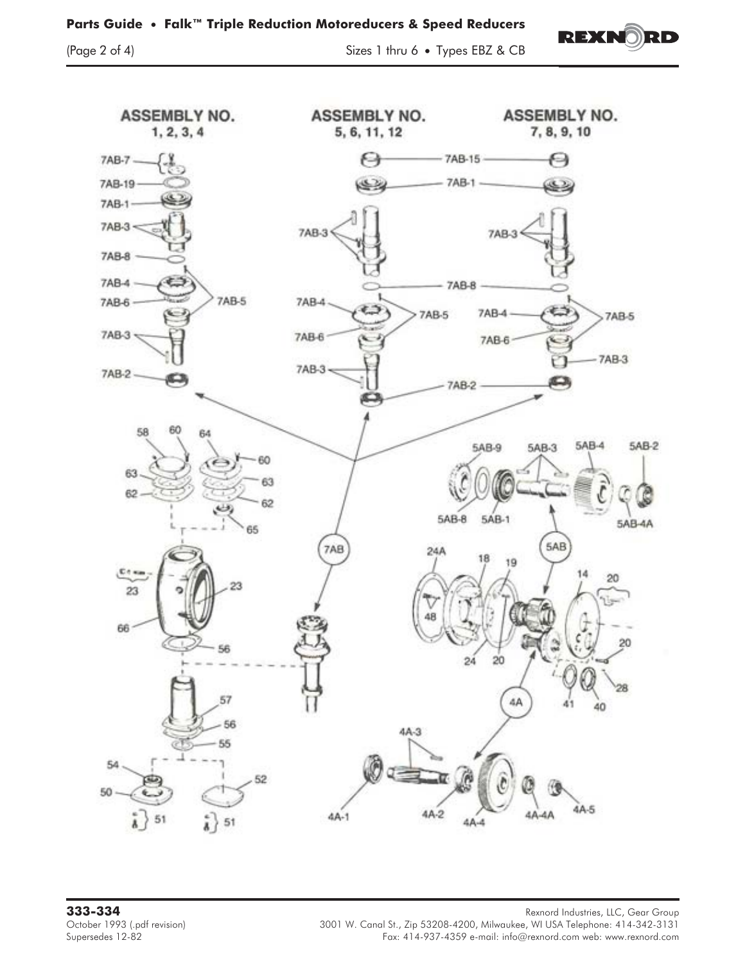

(Page 2 of 4) Sizes 1 thru 6 • Types EBZ & CB

REXNO

RD

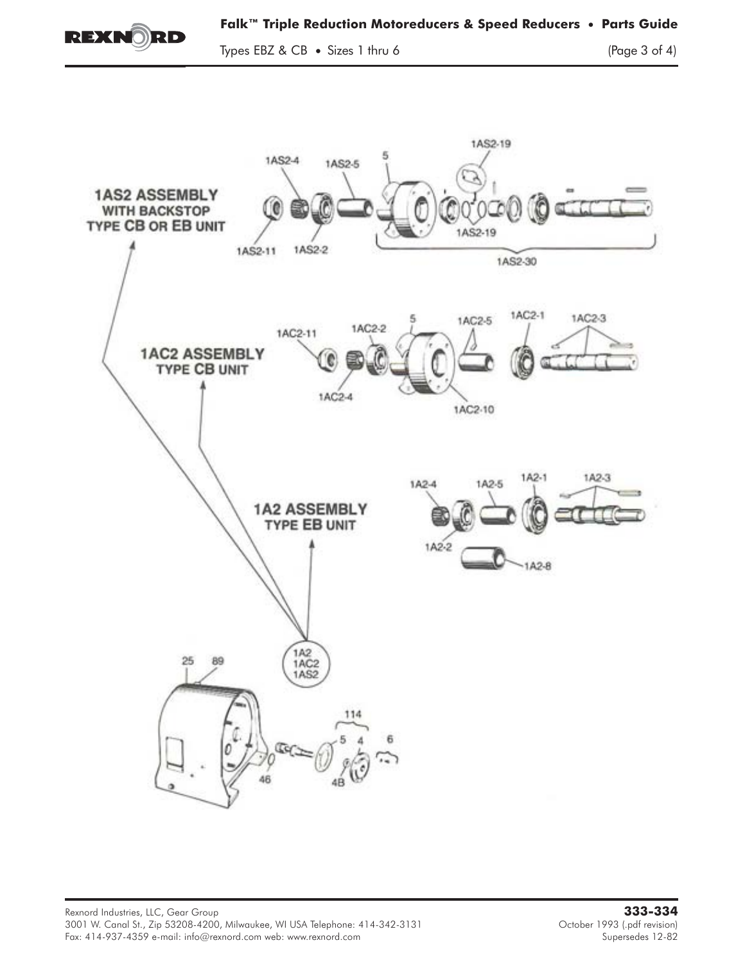

Types EBZ & CB • Sizes 1 thru 6 (Page 3 of 4)